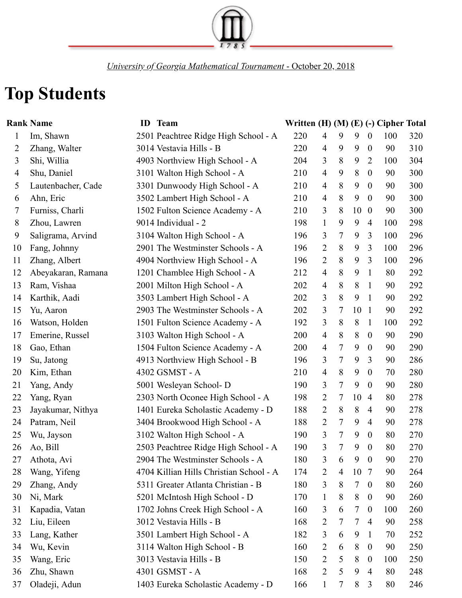

*University of Georgia Mathematical Tournament* - October 20, 2018

## **Top Students**

|                | <b>Rank Name</b>   | ID | <b>Team</b>                             | Written $(H)$ $(M)$ $(E)$ $(-)$ Cipher Total |                |   |        |                  |     |     |
|----------------|--------------------|----|-----------------------------------------|----------------------------------------------|----------------|---|--------|------------------|-----|-----|
| $\mathbf{1}$   | Im, Shawn          |    | 2501 Peachtree Ridge High School - A    | 220                                          | $\overline{4}$ | 9 | 9      | $\overline{0}$   | 100 | 320 |
| 2              | Zhang, Walter      |    | 3014 Vestavia Hills - B                 | 220                                          | $\overline{4}$ | 9 | 9      | $\boldsymbol{0}$ | 90  | 310 |
| 3              | Shi, Willia        |    | 4903 Northview High School - A          | 204                                          | 3              | 8 | 9      | $\overline{2}$   | 100 | 304 |
| $\overline{4}$ | Shu, Daniel        |    | 3101 Walton High School - A             | 210                                          | $\overline{4}$ | 9 | 8      | $\boldsymbol{0}$ | 90  | 300 |
| 5              | Lautenbacher, Cade |    | 3301 Dunwoody High School - A           | 210                                          | $\overline{4}$ | 8 | 9      | $\overline{0}$   | 90  | 300 |
| 6              | Ahn, Eric          |    | 3502 Lambert High School - A            | 210                                          | $\overline{4}$ | 8 | 9      | $\overline{0}$   | 90  | 300 |
| 7              | Furniss, Charli    |    | 1502 Fulton Science Academy - A         | 210                                          | 3              | 8 | 10     | $\boldsymbol{0}$ | 90  | 300 |
| 8              | Zhou, Lawren       |    | 9014 Individual - 2                     | 198                                          | $\mathbf{1}$   | 9 | 9      | $\overline{4}$   | 100 | 298 |
| 9              | Saligrama, Arvind  |    | 3104 Walton High School - A             | 196                                          | 3              | 7 | 9      | 3                | 100 | 296 |
| 10             | Fang, Johnny       |    | 2901 The Westminster Schools - A        | 196                                          | $\overline{2}$ | 8 | 9      | 3                | 100 | 296 |
| 11             | Zhang, Albert      |    | 4904 Northview High School - A          | 196                                          | $\overline{2}$ | 8 | 9      | 3                | 100 | 296 |
| 12             | Abeyakaran, Ramana |    | 1201 Chamblee High School - A           | 212                                          | $\overline{4}$ | 8 | 9      | 1                | 80  | 292 |
| 13             | Ram, Vishaa        |    | 2001 Milton High School - A             | 202                                          | $\overline{4}$ | 8 | 8      | $\mathbf{1}$     | 90  | 292 |
| 14             | Karthik, Aadi      |    | 3503 Lambert High School - A            | 202                                          | 3              | 8 | 9      | 1                | 90  | 292 |
| 15             | Yu, Aaron          |    | 2903 The Westminster Schools - A        | 202                                          | 3              | 7 | 10     | -1               | 90  | 292 |
| 16             | Watson, Holden     |    | 1501 Fulton Science Academy - A         | 192                                          | 3              | 8 | 8      | 1                | 100 | 292 |
| 17             | Emerine, Russel    |    | 3103 Walton High School - A             | 200                                          | $\overline{4}$ | 8 | 8      | $\boldsymbol{0}$ | 90  | 290 |
| 18             | Gao, Ethan         |    | 1504 Fulton Science Academy - A         | 200                                          | $\overline{4}$ | 7 | 9      | $\boldsymbol{0}$ | 90  | 290 |
| 19             | Su, Jatong         |    | 4913 Northview High School - B          | 196                                          | 3              | 7 | 9      | 3                | 90  | 286 |
| 20             | Kim, Ethan         |    | 4302 GSMST - A                          | 210                                          | $\overline{4}$ | 8 | 9      | $\boldsymbol{0}$ | 70  | 280 |
| 21             | Yang, Andy         |    | 5001 Wesleyan School- D                 | 190                                          | 3              | 7 | 9      | $\overline{0}$   | 90  | 280 |
| 22             | Yang, Ryan         |    | 2303 North Oconee High School - A       | 198                                          | 2              | 7 | 10     | $\overline{4}$   | 80  | 278 |
| 23             | Jayakumar, Nithya  |    | 1401 Eureka Scholastic Academy - D      | 188                                          | $\overline{2}$ | 8 | 8      | $\overline{4}$   | 90  | 278 |
| 24             | Patram, Neil       |    | 3404 Brookwood High School - A          | 188                                          | $\overline{2}$ | 7 | 9      | $\overline{4}$   | 90  | 278 |
| 25             | Wu, Jayson         |    | 3102 Walton High School - A             | 190                                          | $\overline{3}$ | 7 | 9      | $\overline{0}$   | 80  | 270 |
| 26             | Ao, Bill           |    | 2503 Peachtree Ridge High School - A    | 190                                          | 3              | 7 | 9      | $\boldsymbol{0}$ | 80  | 270 |
| 27             | Athota, Avi        |    | 2904 The Westminster Schools - A        | 180                                          | 3              | 6 | 9      | $\boldsymbol{0}$ | 90  | 270 |
| 28             | Wang, Yifeng       |    | 4704 Killian Hills Christian School - A | 174                                          | $\overline{2}$ | 4 | 10     | 7                | 90  | 264 |
| 29             | Zhang, Andy        |    | 5311 Greater Atlanta Christian - B      | 180                                          | 3              | 8 | 7      | $\boldsymbol{0}$ | 80  | 260 |
| 30             | Ni, Mark           |    | 5201 McIntosh High School - D           | 170                                          | $\mathbf{1}$   | 8 | 8      | $\boldsymbol{0}$ | 90  | 260 |
| 31             | Kapadia, Vatan     |    | 1702 Johns Creek High School - A        | 160                                          | 3              | 6 | 7      | $\boldsymbol{0}$ | 100 | 260 |
| 32             | Liu, Eileen        |    | 3012 Vestavia Hills - B                 | 168                                          | $\overline{2}$ | 7 | $\tau$ | $\overline{4}$   | 90  | 258 |
| 33             | Lang, Kather       |    | 3501 Lambert High School - A            | 182                                          | 3              | 6 | 9      | $\mathbf{1}$     | 70  | 252 |
| 34             | Wu, Kevin          |    | 3114 Walton High School - B             | 160                                          | $\overline{2}$ | 6 | 8      | $\boldsymbol{0}$ | 90  | 250 |
| 35             | Wang, Eric         |    | 3013 Vestavia Hills - B                 | 150                                          | $\overline{2}$ | 5 | 8      | $\boldsymbol{0}$ | 100 | 250 |
| 36             | Zhu, Shawn         |    | 4301 GSMST - A                          | 168                                          | $\overline{2}$ | 5 | 9      | $\overline{4}$   | 80  | 248 |
| 37             | Oladeji, Adun      |    | 1403 Eureka Scholastic Academy - D      | 166                                          | $\mathbf{1}$   | 7 | 8      | 3                | 80  | 246 |